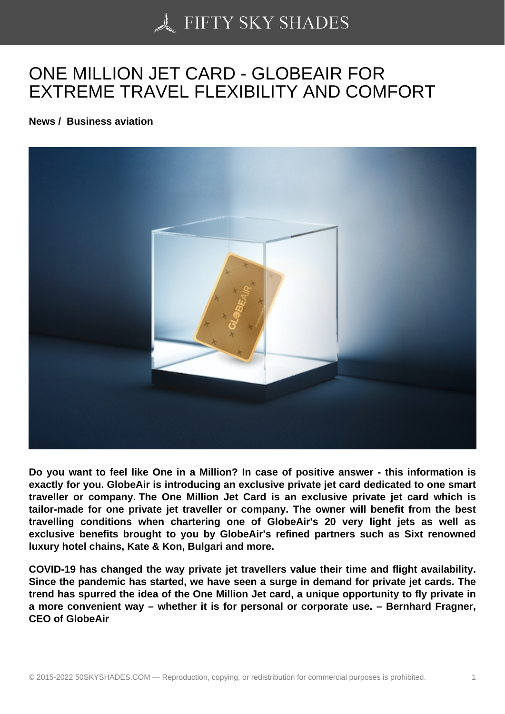# [ONE MILLION JET CA](https://50skyshades.com)RD - GLOBEAIR FOR EXTREME TRAVEL FLEXIBILITY AND COMFORT

News / Business aviation

Do you want to feel like One in a Million? In case of positive answer - this information is exactly for you. GlobeAir is introducing an exclusive private jet card dedicated to one smart traveller or company. The One Million Jet Card is an exclusive private jet card which is tailor-made for one private jet traveller or company. The owner will benefit from the best travelling conditions when chartering one of GlobeAir's 20 very light jets as well as exclusive benefits brought to you by GlobeAir's refined partners such as Sixt renowned luxury hotel chains, Kate & Kon, Bulgari and more.

COVID-19 has changed the way private jet travellers value their time and flight availability. Since the pandemic has started, we have seen a surge in demand for private jet cards. The trend has spurred the idea of the One Million Jet card, a unique opportunity to fly private in a more convenient way – whether it is for personal or corporate use. – Bernhard Fragner, CEO of GlobeAir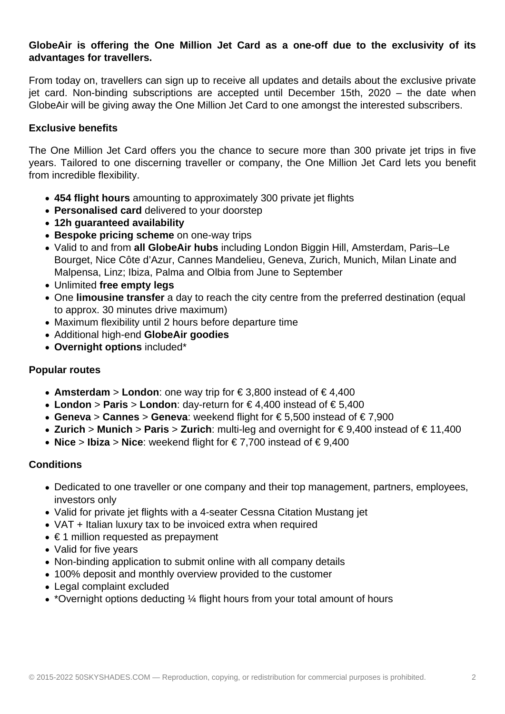## **GlobeAir is offering the One Million Jet Card as a one-off due to the exclusivity of its advantages for travellers.**

From today on, travellers can sign up to receive all updates and details about the exclusive private jet card. Non-binding subscriptions are accepted until December 15th, 2020 – the date when GlobeAir will be giving away the One Million Jet Card to one amongst the interested subscribers.

## **Exclusive benefits**

The One Million Jet Card offers you the chance to secure more than 300 private jet trips in five years. Tailored to one discerning traveller or company, the One Million Jet Card lets you benefit from incredible flexibility.

- **454 flight hours** amounting to approximately 300 private jet flights
- **Personalised card** delivered to your doorstep
- **12h guaranteed availability**
- **Bespoke pricing scheme** on one-way trips
- Valid to and from **all GlobeAir hubs** including London Biggin Hill, Amsterdam, Paris–Le Bourget, Nice Côte d'Azur, Cannes Mandelieu, Geneva, Zurich, Munich, Milan Linate and Malpensa, Linz; Ibiza, Palma and Olbia from June to September
- Unlimited **free empty legs**
- One **limousine transfer** a day to reach the city centre from the preferred destination (equal to approx. 30 minutes drive maximum)
- Maximum flexibility until 2 hours before departure time
- Additional high-end **GlobeAir goodies**
- **Overnight options** included\*

### **Popular routes**

- **Amsterdam** > **London**: one way trip for € 3,800 instead of € 4,400
- **London** > **Paris** > **London**: day-return for € 4,400 instead of € 5,400
- **Geneva** > **Cannes** > **Geneva**: weekend flight for € 5,500 instead of € 7,900
- **Zurich** > **Munich** > **Paris** > **Zurich**: multi-leg and overnight for € 9,400 instead of € 11,400
- **Nice** > **Ibiza** > **Nice**: weekend flight for € 7,700 instead of € 9,400

### **Conditions**

- Dedicated to one traveller or one company and their top management, partners, employees, investors only
- Valid for private jet flights with a 4-seater Cessna Citation Mustang jet
- VAT + Italian luxury tax to be invoiced extra when required
- $\bullet \in$  1 million requested as prepayment
- Valid for five years
- Non-binding application to submit online with all company details
- 100% deposit and monthly overview provided to the customer
- Legal complaint excluded
- \*Overnight options deducting  $\frac{1}{4}$  flight hours from your total amount of hours